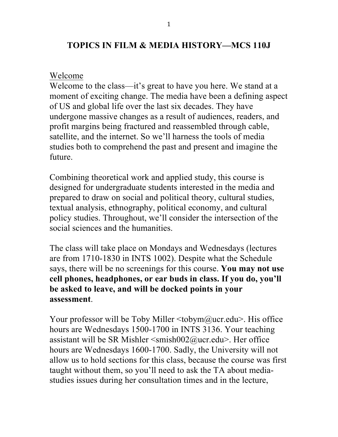## **TOPICS IN FILM & MEDIA HISTORY—MCS 110J**

## Welcome

Welcome to the class—it's great to have you here. We stand at a moment of exciting change. The media have been a defining aspect of US and global life over the last six decades. They have undergone massive changes as a result of audiences, readers, and profit margins being fractured and reassembled through cable, satellite, and the internet. So we'll harness the tools of media studies both to comprehend the past and present and imagine the future.

Combining theoretical work and applied study, this course is designed for undergraduate students interested in the media and prepared to draw on social and political theory, cultural studies, textual analysis, ethnography, political economy, and cultural policy studies. Throughout, we'll consider the intersection of the social sciences and the humanities.

The class will take place on Mondays and Wednesdays (lectures are from 1710-1830 in INTS 1002). Despite what the Schedule says, there will be no screenings for this course. **You may not use cell phones, headphones, or ear buds in class. If you do, you'll be asked to leave, and will be docked points in your assessment**.

Your professor will be Toby Miller <tobym@ucr.edu>. His office hours are Wednesdays 1500-1700 in INTS 3136. Your teaching assistant will be SR Mishler  $\leq$ smish002@ucr.edu>. Her office hours are Wednesdays 1600-1700. Sadly, the University will not allow us to hold sections for this class, because the course was first taught without them, so you'll need to ask the TA about mediastudies issues during her consultation times and in the lecture,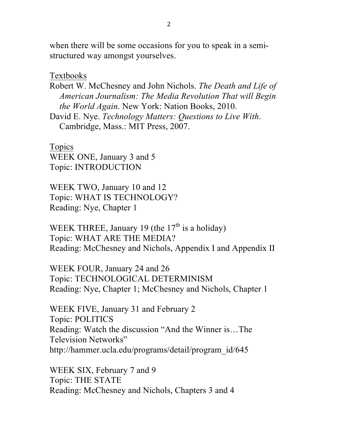when there will be some occasions for you to speak in a semistructured way amongst yourselves.

Textbooks

Robert W. McChesney and John Nichols. *The Death and Life of American Journalism: The Media Revolution That will Begin the World Again*. New York: Nation Books, 2010.

David E. Nye. *Technology Matters: Questions to Live With*. Cambridge, Mass.: MIT Press, 2007.

Topics WEEK ONE, January 3 and 5 Topic: INTRODUCTION

WEEK TWO, January 10 and 12 Topic: WHAT IS TECHNOLOGY? Reading: Nye, Chapter 1

WEEK THREE, January 19 (the  $17<sup>th</sup>$  is a holiday) Topic: WHAT ARE THE MEDIA? Reading: McChesney and Nichols, Appendix I and Appendix II

WEEK FOUR, January 24 and 26 Topic: TECHNOLOGICAL DETERMINISM Reading: Nye, Chapter 1; McChesney and Nichols, Chapter 1

WEEK FIVE, January 31 and February 2 Topic: POLITICS Reading: Watch the discussion "And the Winner is…The Television Networks" http://hammer.ucla.edu/programs/detail/program\_id/645

WEEK SIX, February 7 and 9 Topic: THE STATE Reading: McChesney and Nichols, Chapters 3 and 4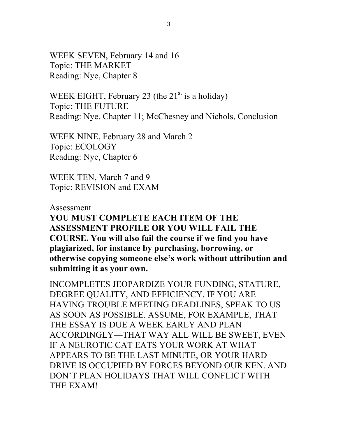WEEK SEVEN, February 14 and 16 Topic: THE MARKET Reading: Nye, Chapter 8

WEEK EIGHT, February 23 (the  $21<sup>st</sup>$  is a holiday) Topic: THE FUTURE Reading: Nye, Chapter 11; McChesney and Nichols, Conclusion

WEEK NINE, February 28 and March 2 Topic: ECOLOGY Reading: Nye, Chapter 6

WEEK TEN, March 7 and 9 Topic: REVISION and EXAM

## Assessment **YOU MUST COMPLETE EACH ITEM OF THE ASSESSMENT PROFILE OR YOU WILL FAIL THE COURSE. You will also fail the course if we find you have plagiarized, for instance by purchasing, borrowing, or otherwise copying someone else's work without attribution and submitting it as your own.**

INCOMPLETES JEOPARDIZE YOUR FUNDING, STATURE, DEGREE QUALITY, AND EFFICIENCY. IF YOU ARE HAVING TROUBLE MEETING DEADLINES, SPEAK TO US AS SOON AS POSSIBLE. ASSUME, FOR EXAMPLE, THAT THE ESSAY IS DUE A WEEK EARLY AND PLAN ACCORDINGLY—THAT WAY ALL WILL BE SWEET, EVEN IF A NEUROTIC CAT EATS YOUR WORK AT WHAT APPEARS TO BE THE LAST MINUTE, OR YOUR HARD DRIVE IS OCCUPIED BY FORCES BEYOND OUR KEN. AND DON'T PLAN HOLIDAYS THAT WILL CONFLICT WITH THE EXAM!